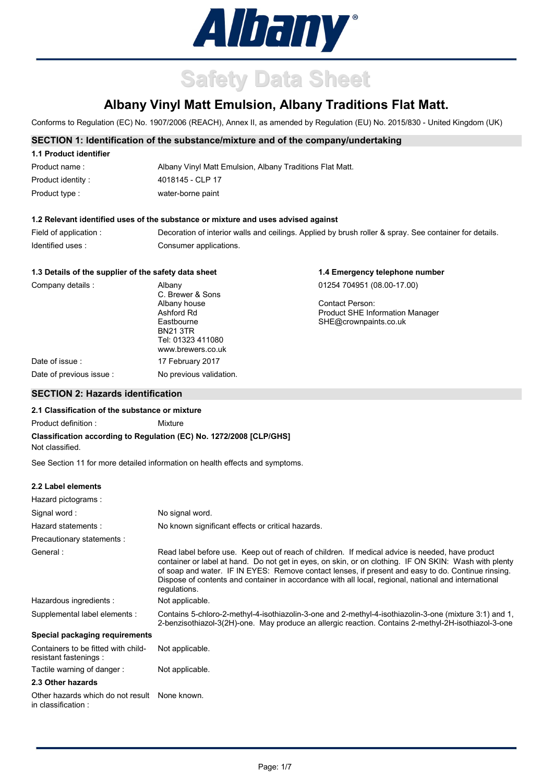

# **Safety Data Sheet**

## **Albany Vinyl Matt Emulsion, Albany Traditions Flat Matt.**

Conforms to Regulation (EC) No. 1907/2006 (REACH), Annex II, as amended by Regulation (EU) No. 2015/830 - United Kingdom (UK)

#### **SECTION 1: Identification of the substance/mixture and of the company/undertaking**

| 1.1 Product identifier |                                                          |
|------------------------|----------------------------------------------------------|
| Product name:          | Albany Vinyl Matt Emulsion, Albany Traditions Flat Matt. |
| Product identity:      | 4018145 - CLP 17                                         |
| Product type :         | water-borne paint                                        |

## **1.2 Relevant identified uses of the substance or mixture and uses advised against**

| Field of application : | Decoration of interior walls and ceilings. Applied by brush roller & spray. See container for details. |
|------------------------|--------------------------------------------------------------------------------------------------------|
| Identified uses:       | Consumer applications.                                                                                 |

**1.4 Emergency telephone number**

## **1.3 Details of the supplier of the safety data sheet**

| Company details :       | Albany                                 | 01254 704951 (08.00-17.00)             |
|-------------------------|----------------------------------------|----------------------------------------|
|                         | C. Brewer & Sons                       |                                        |
|                         | Albany house                           | Contact Person:                        |
|                         | Ashford Rd                             | <b>Product SHE Information Manager</b> |
|                         | Eastbourne                             | SHE@crownpaints.co.uk                  |
|                         | <b>BN21 3TR</b>                        |                                        |
|                         | Tel: 01323 411080<br>www.brewers.co.uk |                                        |
| Date of issue :         | 17 February 2017                       |                                        |
| Date of previous issue: | No previous validation.                |                                        |
|                         |                                        |                                        |

## **SECTION 2: Hazards identification**

#### **2.1 Classification of the substance or mixture**

Product definition : Mixture

#### **Classification according to Regulation (EC) No. 1272/2008 [CLP/GHS]** Not classified.

See Section 11 for more detailed information on health effects and symptoms.

#### **2.2 Label elements**

| Hazard pictograms:                                           |                                                                                                                                                                                                                                                                                                                                                                                                                                        |
|--------------------------------------------------------------|----------------------------------------------------------------------------------------------------------------------------------------------------------------------------------------------------------------------------------------------------------------------------------------------------------------------------------------------------------------------------------------------------------------------------------------|
| Signal word:                                                 | No signal word.                                                                                                                                                                                                                                                                                                                                                                                                                        |
| Hazard statements:                                           | No known significant effects or critical hazards.                                                                                                                                                                                                                                                                                                                                                                                      |
| Precautionary statements :                                   |                                                                                                                                                                                                                                                                                                                                                                                                                                        |
| General:                                                     | Read label before use. Keep out of reach of children. If medical advice is needed, have product<br>container or label at hand. Do not get in eyes, on skin, or on clothing. IF ON SKIN: Wash with plenty<br>of soap and water. IF IN EYES: Remove contact lenses, if present and easy to do. Continue rinsing.<br>Dispose of contents and container in accordance with all local, regional, national and international<br>regulations. |
| Hazardous ingredients :                                      | Not applicable.                                                                                                                                                                                                                                                                                                                                                                                                                        |
| Supplemental label elements :                                | Contains 5-chloro-2-methyl-4-isothiazolin-3-one and 2-methyl-4-isothiazolin-3-one (mixture 3:1) and 1,<br>2-benzisothiazol-3(2H)-one. May produce an allergic reaction. Contains 2-methyl-2H-isothiazol-3-one                                                                                                                                                                                                                          |
| Special packaging requirements                               |                                                                                                                                                                                                                                                                                                                                                                                                                                        |
| Containers to be fitted with child-<br>resistant fastenings: | Not applicable.                                                                                                                                                                                                                                                                                                                                                                                                                        |
| Tactile warning of danger:                                   | Not applicable.                                                                                                                                                                                                                                                                                                                                                                                                                        |
| 2.3 Other hazards                                            |                                                                                                                                                                                                                                                                                                                                                                                                                                        |
| Other hazards which do not result<br>in classification :     | None known.                                                                                                                                                                                                                                                                                                                                                                                                                            |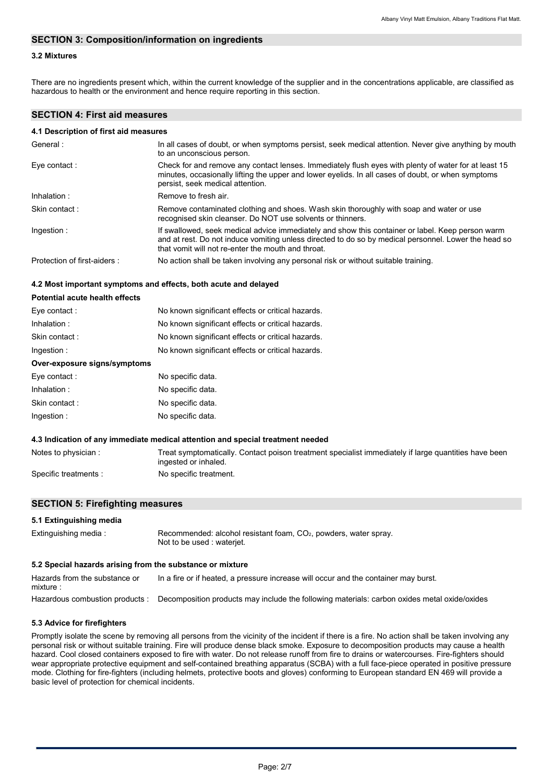## **SECTION 3: Composition/information on ingredients**

## **3.2 Mixtures**

There are no ingredients present which, within the current knowledge of the supplier and in the concentrations applicable, are classified as hazardous to health or the environment and hence require reporting in this section.

## **SECTION 4: First aid measures**

#### **4.1 Description of first aid measures**

| General:                    | In all cases of doubt, or when symptoms persist, seek medical attention. Never give anything by mouth<br>to an unconscious person.                                                                                                                             |
|-----------------------------|----------------------------------------------------------------------------------------------------------------------------------------------------------------------------------------------------------------------------------------------------------------|
| Eye contact:                | Check for and remove any contact lenses. Immediately flush eyes with plenty of water for at least 15<br>minutes, occasionally lifting the upper and lower eyelids. In all cases of doubt, or when symptoms<br>persist, seek medical attention.                 |
| Inhalation:                 | Remove to fresh air.                                                                                                                                                                                                                                           |
| Skin contact:               | Remove contaminated clothing and shoes. Wash skin thoroughly with soap and water or use<br>recognised skin cleanser. Do NOT use solvents or thinners.                                                                                                          |
| Ingestion:                  | If swallowed, seek medical advice immediately and show this container or label. Keep person warm<br>and at rest. Do not induce vomiting unless directed to do so by medical personnel. Lower the head so<br>that vomit will not re-enter the mouth and throat. |
| Protection of first-aiders: | No action shall be taken involving any personal risk or without suitable training.                                                                                                                                                                             |

#### **4.2 Most important symptoms and effects, both acute and delayed**

| Potential acute health effects |                                                   |
|--------------------------------|---------------------------------------------------|
| Eye contact:                   | No known significant effects or critical hazards. |
| Inhalation:                    | No known significant effects or critical hazards. |
| Skin contact:                  | No known significant effects or critical hazards. |
| Ingestion:                     | No known significant effects or critical hazards. |
| Over-exposure signs/symptoms   |                                                   |
| Eye contact:                   | No specific data.                                 |
|                                |                                                   |

| Inhalation :   | No specific data. |
|----------------|-------------------|
| Skin contact : | No specific data. |
| Ingestion :    | No specific data. |

#### **4.3 Indication of any immediate medical attention and special treatment needed**

Notes to physician : Treat symptomatically. Contact poison treatment specialist immediately if large quantities have been ingested or inhaled. Specific treatments : No specific treatment.

#### **SECTION 5: Firefighting measures**

| 5.1 Extinguishing media                                   |                                                                                                 |
|-----------------------------------------------------------|-------------------------------------------------------------------------------------------------|
| Extinguishing media:                                      | Recommended: alcohol resistant foam, $CO2$ , powders, water spray.<br>Not to be used: wateriet. |
| 5.2 Special hazards arising from the substance or mixture |                                                                                                 |
| Hazards from the substance or<br>mixture :                | In a fire or if heated, a pressure increase will occur and the container may burst.             |

Hazardous combustion products : Decomposition products may include the following materials: carbon oxides metal oxide/oxides

#### **5.3 Advice for firefighters**

Promptly isolate the scene by removing all persons from the vicinity of the incident if there is a fire. No action shall be taken involving any personal risk or without suitable training. Fire will produce dense black smoke. Exposure to decomposition products may cause a health hazard. Cool closed containers exposed to fire with water. Do not release runoff from fire to drains or watercourses. Fire-fighters should wear appropriate protective equipment and self-contained breathing apparatus (SCBA) with a full face-piece operated in positive pressure mode. Clothing for fire-fighters (including helmets, protective boots and gloves) conforming to European standard EN 469 will provide a basic level of protection for chemical incidents.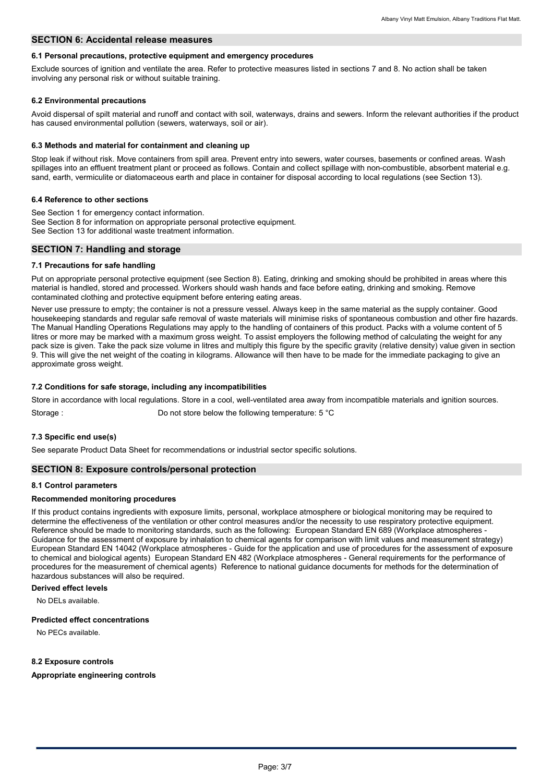#### **SECTION 6: Accidental release measures**

#### **6.1 Personal precautions, protective equipment and emergency procedures**

Exclude sources of ignition and ventilate the area. Refer to protective measures listed in sections 7 and 8. No action shall be taken involving any personal risk or without suitable training.

#### **6.2 Environmental precautions**

Avoid dispersal of spilt material and runoff and contact with soil, waterways, drains and sewers. Inform the relevant authorities if the product has caused environmental pollution (sewers, waterways, soil or air).

#### **6.3 Methods and material for containment and cleaning up**

Stop leak if without risk. Move containers from spill area. Prevent entry into sewers, water courses, basements or confined areas. Wash spillages into an effluent treatment plant or proceed as follows. Contain and collect spillage with non-combustible, absorbent material e.g. sand, earth, vermiculite or diatomaceous earth and place in container for disposal according to local regulations (see Section 13).

#### **6.4 Reference to other sections**

See Section 1 for emergency contact information. See Section 8 for information on appropriate personal protective equipment. See Section 13 for additional waste treatment information.

#### **SECTION 7: Handling and storage**

#### **7.1 Precautions for safe handling**

Put on appropriate personal protective equipment (see Section 8). Eating, drinking and smoking should be prohibited in areas where this material is handled, stored and processed. Workers should wash hands and face before eating, drinking and smoking. Remove contaminated clothing and protective equipment before entering eating areas.

Never use pressure to empty; the container is not a pressure vessel. Always keep in the same material as the supply container. Good housekeeping standards and regular safe removal of waste materials will minimise risks of spontaneous combustion and other fire hazards. The Manual Handling Operations Regulations may apply to the handling of containers of this product. Packs with a volume content of 5 litres or more may be marked with a maximum gross weight. To assist employers the following method of calculating the weight for any pack size is given. Take the pack size volume in litres and multiply this figure by the specific gravity (relative density) value given in section 9. This will give the net weight of the coating in kilograms. Allowance will then have to be made for the immediate packaging to give an approximate gross weight.

#### **7.2 Conditions for safe storage, including any incompatibilities**

Store in accordance with local regulations. Store in a cool, well-ventilated area away from incompatible materials and ignition sources.

Storage : Do not store below the following temperature: 5 °C

#### **7.3 Specific end use(s)**

See separate Product Data Sheet for recommendations or industrial sector specific solutions.

#### **SECTION 8: Exposure controls/personal protection**

#### **8.1 Control parameters**

#### **Recommended monitoring procedures**

If this product contains ingredients with exposure limits, personal, workplace atmosphere or biological monitoring may be required to determine the effectiveness of the ventilation or other control measures and/or the necessity to use respiratory protective equipment. Reference should be made to monitoring standards, such as the following: European Standard EN 689 (Workplace atmospheres - Guidance for the assessment of exposure by inhalation to chemical agents for comparison with limit values and measurement strategy) European Standard EN 14042 (Workplace atmospheres - Guide for the application and use of procedures for the assessment of exposure to chemical and biological agents) European Standard EN 482 (Workplace atmospheres - General requirements for the performance of procedures for the measurement of chemical agents) Reference to national guidance documents for methods for the determination of hazardous substances will also be required.

#### **Derived effect levels**

No DELs available.

#### **Predicted effect concentrations**

No PECs available.

#### **8.2 Exposure controls**

#### **Appropriate engineering controls**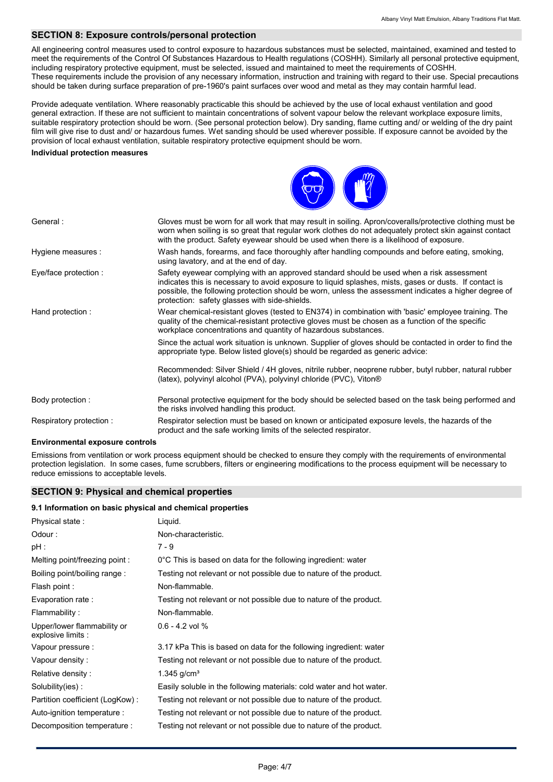## **SECTION 8: Exposure controls/personal protection**

All engineering control measures used to control exposure to hazardous substances must be selected, maintained, examined and tested to meet the requirements of the Control Of Substances Hazardous to Health regulations (COSHH). Similarly all personal protective equipment, including respiratory protective equipment, must be selected, issued and maintained to meet the requirements of COSHH. These requirements include the provision of any necessary information, instruction and training with regard to their use. Special precautions should be taken during surface preparation of pre-1960's paint surfaces over wood and metal as they may contain harmful lead.

Provide adequate ventilation. Where reasonably practicable this should be achieved by the use of local exhaust ventilation and good general extraction. If these are not sufficient to maintain concentrations of solvent vapour below the relevant workplace exposure limits, suitable respiratory protection should be worn. (See personal protection below). Dry sanding, flame cutting and/ or welding of the dry paint film will give rise to dust and/ or hazardous fumes. Wet sanding should be used wherever possible. If exposure cannot be avoided by the provision of local exhaust ventilation, suitable respiratory protective equipment should be worn.

#### **Individual protection measures**



| General:                | Gloves must be worn for all work that may result in soiling. Apron/coveralls/protective clothing must be<br>worn when soiling is so great that regular work clothes do not adequately protect skin against contact<br>with the product. Safety eyewear should be used when there is a likelihood of exposure.                                                |
|-------------------------|--------------------------------------------------------------------------------------------------------------------------------------------------------------------------------------------------------------------------------------------------------------------------------------------------------------------------------------------------------------|
| Hygiene measures :      | Wash hands, forearms, and face thoroughly after handling compounds and before eating, smoking,<br>using lavatory, and at the end of day.                                                                                                                                                                                                                     |
| Eye/face protection :   | Safety eyewear complying with an approved standard should be used when a risk assessment<br>indicates this is necessary to avoid exposure to liquid splashes, mists, gases or dusts. If contact is<br>possible, the following protection should be worn, unless the assessment indicates a higher degree of<br>protection: safety glasses with side-shields. |
| Hand protection:        | Wear chemical-resistant gloves (tested to EN374) in combination with 'basic' employee training. The<br>quality of the chemical-resistant protective gloves must be chosen as a function of the specific<br>workplace concentrations and quantity of hazardous substances.                                                                                    |
|                         | Since the actual work situation is unknown. Supplier of gloves should be contacted in order to find the<br>appropriate type. Below listed glove(s) should be regarded as generic advice:                                                                                                                                                                     |
|                         | Recommended: Silver Shield / 4H gloves, nitrile rubber, neoprene rubber, butyl rubber, natural rubber<br>(latex), polyvinyl alcohol (PVA), polyvinyl chloride (PVC), Viton®                                                                                                                                                                                  |
| Body protection:        | Personal protective equipment for the body should be selected based on the task being performed and<br>the risks involved handling this product.                                                                                                                                                                                                             |
| Respiratory protection: | Respirator selection must be based on known or anticipated exposure levels, the hazards of the<br>product and the safe working limits of the selected respirator.                                                                                                                                                                                            |

#### **Environmental exposure controls**

Emissions from ventilation or work process equipment should be checked to ensure they comply with the requirements of environmental protection legislation. In some cases, fume scrubbers, filters or engineering modifications to the process equipment will be necessary to reduce emissions to acceptable levels.

#### **SECTION 9: Physical and chemical properties**

#### **9.1 Information on basic physical and chemical properties**

| Physical state:                                   | Liquid.                                                              |
|---------------------------------------------------|----------------------------------------------------------------------|
| Odour:                                            | Non-characteristic.                                                  |
| $pH$ :                                            | 7 - 9                                                                |
| Melting point/freezing point:                     | 0°C This is based on data for the following ingredient: water        |
| Boiling point/boiling range:                      | Testing not relevant or not possible due to nature of the product.   |
| Flash point :                                     | Non-flammable.                                                       |
| Evaporation rate :                                | Testing not relevant or not possible due to nature of the product.   |
| Flammability:                                     | Non-flammable.                                                       |
| Upper/lower flammability or<br>explosive limits : | $0.6 - 4.2$ vol %                                                    |
| Vapour pressure :                                 | 3.17 kPa This is based on data for the following ingredient: water   |
| Vapour density:                                   | Testing not relevant or not possible due to nature of the product.   |
| Relative density:                                 | 1.345 $q/cm3$                                                        |
| Solubility(ies):                                  | Easily soluble in the following materials: cold water and hot water. |
| Partition coefficient (LogKow):                   | Testing not relevant or not possible due to nature of the product.   |
| Auto-ignition temperature :                       | Testing not relevant or not possible due to nature of the product.   |
| Decomposition temperature :                       | Testing not relevant or not possible due to nature of the product.   |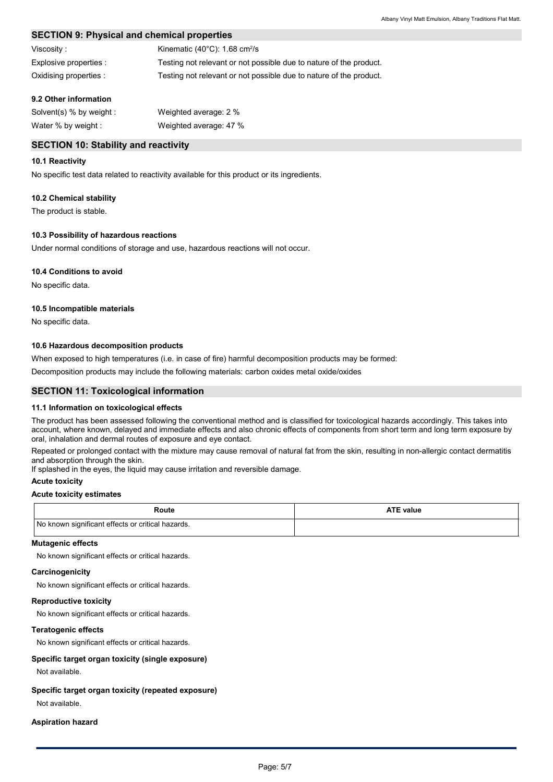## **SECTION 9: Physical and chemical properties**

| Viscositv :            | Kinematic $(40^{\circ}$ C): 1.68 cm <sup>2</sup> /s                |
|------------------------|--------------------------------------------------------------------|
| Explosive properties : | Testing not relevant or not possible due to nature of the product. |
| Oxidising properties : | Testing not relevant or not possible due to nature of the product. |

### **9.2 Other information**

| Solvent(s) % by weight : | Weighted average: 2 %  |
|--------------------------|------------------------|
| Water % by weight :      | Weighted average: 47 % |

## **SECTION 10: Stability and reactivity**

#### **10.1 Reactivity**

No specific test data related to reactivity available for this product or its ingredients.

#### **10.2 Chemical stability**

The product is stable.

#### **10.3 Possibility of hazardous reactions**

Under normal conditions of storage and use, hazardous reactions will not occur.

#### **10.4 Conditions to avoid**

No specific data.

#### **10.5 Incompatible materials**

No specific data.

#### **10.6 Hazardous decomposition products**

When exposed to high temperatures (i.e. in case of fire) harmful decomposition products may be formed:

Decomposition products may include the following materials: carbon oxides metal oxide/oxides

## **SECTION 11: Toxicological information**

#### **11.1 Information on toxicological effects**

The product has been assessed following the conventional method and is classified for toxicological hazards accordingly. This takes into account, where known, delayed and immediate effects and also chronic effects of components from short term and long term exposure by oral, inhalation and dermal routes of exposure and eye contact.

Repeated or prolonged contact with the mixture may cause removal of natural fat from the skin, resulting in non-allergic contact dermatitis and absorption through the skin.

If splashed in the eyes, the liquid may cause irritation and reversible damage.

#### **Acute toxicity**

#### **Acute toxicity estimates**

| Route                                             | <b>ATE value</b> |
|---------------------------------------------------|------------------|
| No known significant effects or critical hazards. |                  |

#### **Mutagenic effects**

No known significant effects or critical hazards.

#### **Carcinogenicity**

No known significant effects or critical hazards.

#### **Reproductive toxicity**

No known significant effects or critical hazards.

#### **Teratogenic effects**

No known significant effects or critical hazards.

#### **Specific target organ toxicity (single exposure)**

Not available.

## **Specific target organ toxicity (repeated exposure)**

Not available.

#### **Aspiration hazard**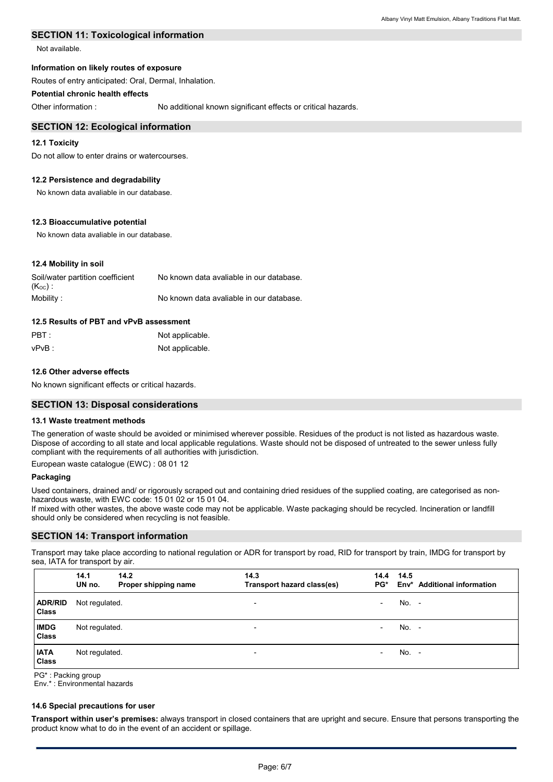## **SECTION 11: Toxicological information**

Not available.

#### **Information on likely routes of exposure**

Routes of entry anticipated: Oral, Dermal, Inhalation.

## **Potential chronic health effects**

Other information :

No additional known significant effects or critical hazards.

#### **SECTION 12: Ecological information**

#### **12.1 Toxicity**

Do not allow to enter drains or watercourses.

#### **12.2 Persistence and degradability**

No known data avaliable in our database.

#### **12.3 Bioaccumulative potential**

No known data avaliable in our database.

#### **12.4 Mobility in soil**

| Soil/water partition coefficient | No known data avaliable in our database. |
|----------------------------------|------------------------------------------|
| $(K_{OC})$ .                     |                                          |
| Mobility:                        | No known data avaliable in our database. |

## **12.5 Results of PBT and vPvB assessment**

| $\mathsf{PBT}$ : | Not applicable. |
|------------------|-----------------|
| vPvB :           | Not applicable. |

#### **12.6 Other adverse effects**

No known significant effects or critical hazards.

#### **SECTION 13: Disposal considerations**

#### **13.1 Waste treatment methods**

The generation of waste should be avoided or minimised wherever possible. Residues of the product is not listed as hazardous waste. Dispose of according to all state and local applicable regulations. Waste should not be disposed of untreated to the sewer unless fully compliant with the requirements of all authorities with jurisdiction.

European waste catalogue (EWC) : 08 01 12

#### **Packaging**

Used containers, drained and/ or rigorously scraped out and containing dried residues of the supplied coating, are categorised as nonhazardous waste, with EWC code: 15 01 02 or 15 01 04.

If mixed with other wastes, the above waste code may not be applicable. Waste packaging should be recycled. Incineration or landfill should only be considered when recycling is not feasible.

#### **SECTION 14: Transport information**

Transport may take place according to national regulation or ADR for transport by road, RID for transport by train, IMDG for transport by sea, IATA for transport by air.

|                                | 14.1<br>UN no. | 14.2<br>Proper shipping name | 14.3<br>Transport hazard class(es) | 14.4<br>PG*              | 14.5    | Env* Additional information |
|--------------------------------|----------------|------------------------------|------------------------------------|--------------------------|---------|-----------------------------|
| <b>ADR/RID</b><br><b>Class</b> | Not regulated. |                              | $\overline{\phantom{a}}$           | $\overline{\phantom{0}}$ | No. -   |                             |
| <b>IMDG</b><br>Class           | Not regulated. |                              | $\overline{\phantom{a}}$           | $\overline{\phantom{0}}$ | $No. -$ |                             |
| <b>IATA</b><br><b>Class</b>    | Not regulated. |                              | $\overline{\phantom{a}}$           | $\overline{\phantom{0}}$ | $No. -$ |                             |

PG\* : Packing group

Env.\* : Environmental hazards

#### **14.6 Special precautions for user**

**Transport within user's premises:** always transport in closed containers that are upright and secure. Ensure that persons transporting the product know what to do in the event of an accident or spillage.